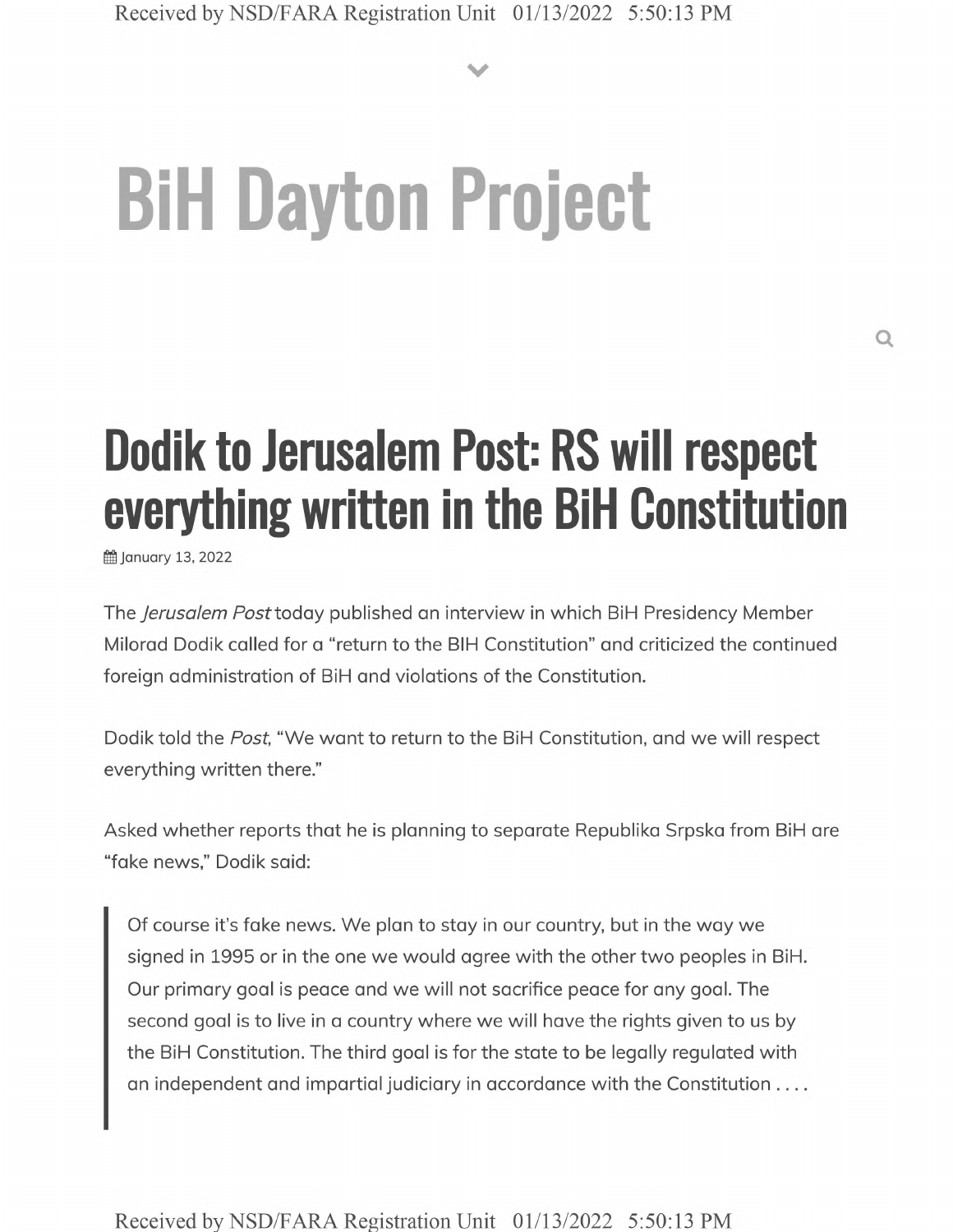**V**

# **BiH Dayton Project**

## **Dodik to Jerusalem Post: RS will respect everything written in the BiH Constitution**

January 13, 2022

The *Jerusalem* Posftoday published an interview in which BiH Presidency Member Milorad Dodik called for a "return to the BIH Constitution" and criticized the continued foreign administration of BiH and violations of the Constitution.

Dodik told the *Post,* "We want to return to the BiH Constitution, and we will respect everything written there."

Asked whether reports that he is planning to separate Republika Srpska from BiH are "fake news," Dodik said:

Of course it's fake news. We plan to stay in our country, but in the way we signed in 1995 or in the one we would agree with the other two peoples in BiH. Our primary goal is peace and we will not sacrifice peace for any goal. The second goal is to live in a country where we will have the rights given to us by the BiH Constitution. The third goal is for the state to be legally regulated with an independent and impartial judiciary in accordance with the Constitution ....

Received by NSD/FARA Registration Unit 01/13/2022 5:50:13 PM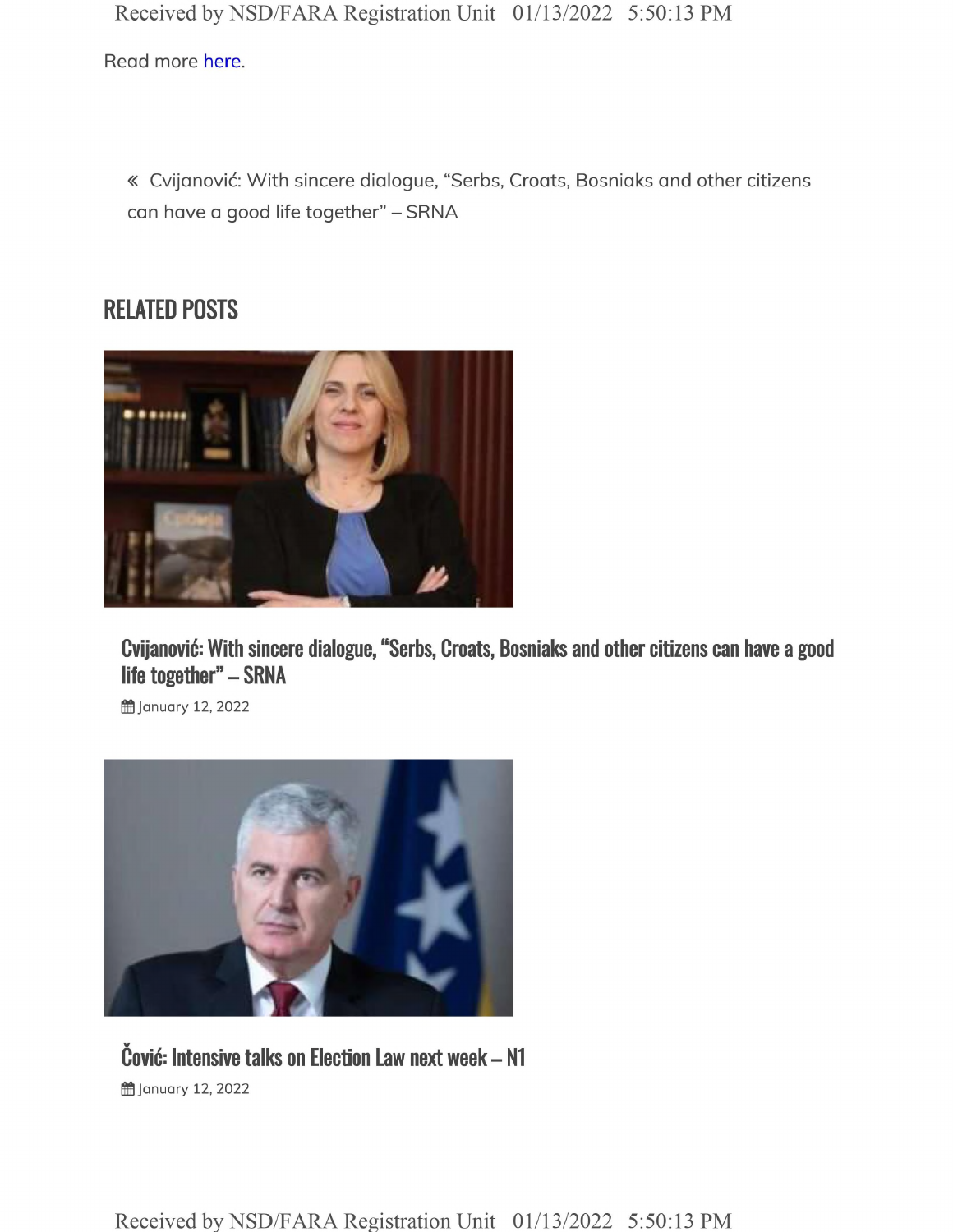Received by NSD/FARA Registration Unit 01/13/2022 5:50:13 PM

Read more here.

« Cvijanovic: With sincere dialogue, "Serbs, Croats, Bosniaks and other citizens can have a good life together" - SRNA

#### **RELATED POSTS**



**Cvijanovic: With sincere dialogue, "Serbs, Croats, Bosniaks and other citizens can have a good life together" - SRNA**

**<u></u>i** January 12, 2022



#### **Covic: Intensive talks on Election Law next week - N1 曲 January 12, 2022**

Received by NSD/FARA Registration Unit 01/13/2022 5:50:13 PM